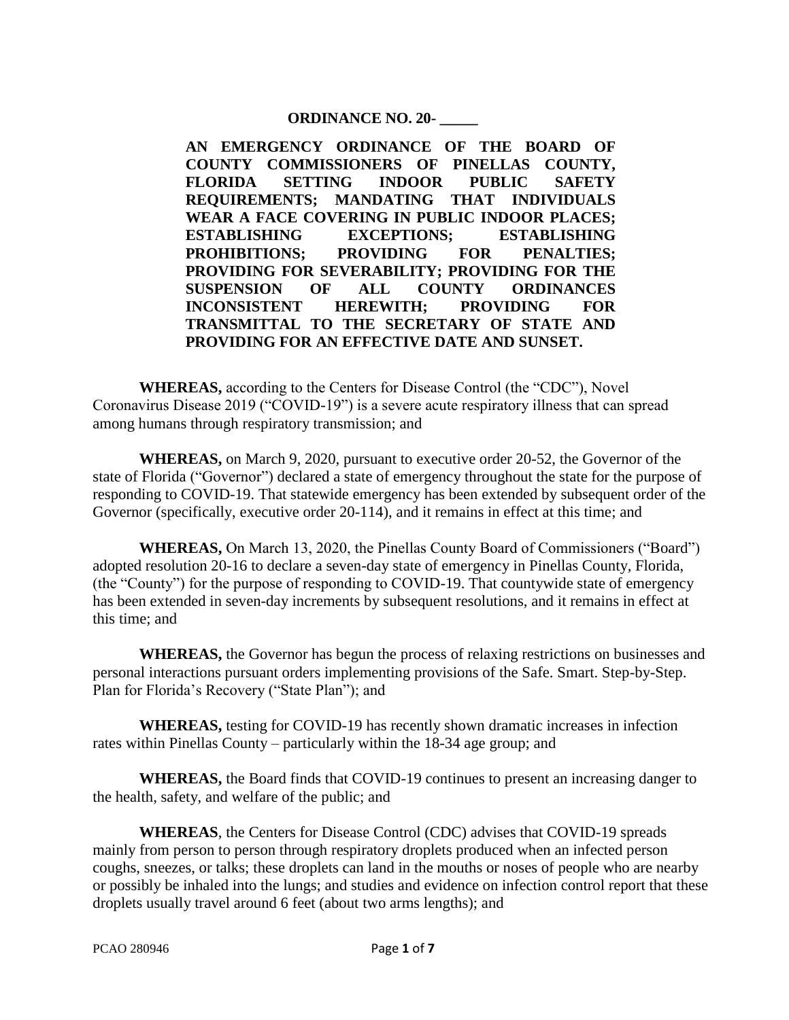## **ORDINANCE NO. 20- \_\_\_\_\_**

**AN EMERGENCY ORDINANCE OF THE BOARD OF COUNTY COMMISSIONERS OF PINELLAS COUNTY, FLORIDA SETTING INDOOR PUBLIC SAFETY REQUIREMENTS; MANDATING THAT INDIVIDUALS WEAR A FACE COVERING IN PUBLIC INDOOR PLACES; ESTABLISHING EXCEPTIONS; ESTABLISHING PROHIBITIONS; PROVIDING FOR PENALTIES; PROVIDING FOR SEVERABILITY; PROVIDING FOR THE SUSPENSION OF ALL COUNTY ORDINANCES INCONSISTENT HEREWITH; PROVIDING FOR TRANSMITTAL TO THE SECRETARY OF STATE AND PROVIDING FOR AN EFFECTIVE DATE AND SUNSET.**

**WHEREAS,** according to the Centers for Disease Control (the "CDC"), Novel Coronavirus Disease 2019 ("COVID-19") is a severe acute respiratory illness that can spread among humans through respiratory transmission; and

**WHEREAS,** on March 9, 2020, pursuant to executive order 20-52, the Governor of the state of Florida ("Governor") declared a state of emergency throughout the state for the purpose of responding to COVID-19. That statewide emergency has been extended by subsequent order of the Governor (specifically, executive order 20-114), and it remains in effect at this time; and

**WHEREAS,** On March 13, 2020, the Pinellas County Board of Commissioners ("Board") adopted resolution 20-16 to declare a seven-day state of emergency in Pinellas County, Florida, (the "County") for the purpose of responding to COVID-19. That countywide state of emergency has been extended in seven-day increments by subsequent resolutions, and it remains in effect at this time; and

**WHEREAS,** the Governor has begun the process of relaxing restrictions on businesses and personal interactions pursuant orders implementing provisions of the Safe. Smart. Step-by-Step. Plan for Florida's Recovery ("State Plan"); and

**WHEREAS,** testing for COVID-19 has recently shown dramatic increases in infection rates within Pinellas County – particularly within the 18-34 age group; and

**WHEREAS,** the Board finds that COVID-19 continues to present an increasing danger to the health, safety, and welfare of the public; and

**WHEREAS**, the Centers for Disease Control (CDC) advises that COVID-19 spreads mainly from person to person through respiratory droplets produced when an infected person coughs, sneezes, or talks; these droplets can land in the mouths or noses of people who are nearby or possibly be inhaled into the lungs; and studies and evidence on infection control report that these droplets usually travel around 6 feet (about two arms lengths); and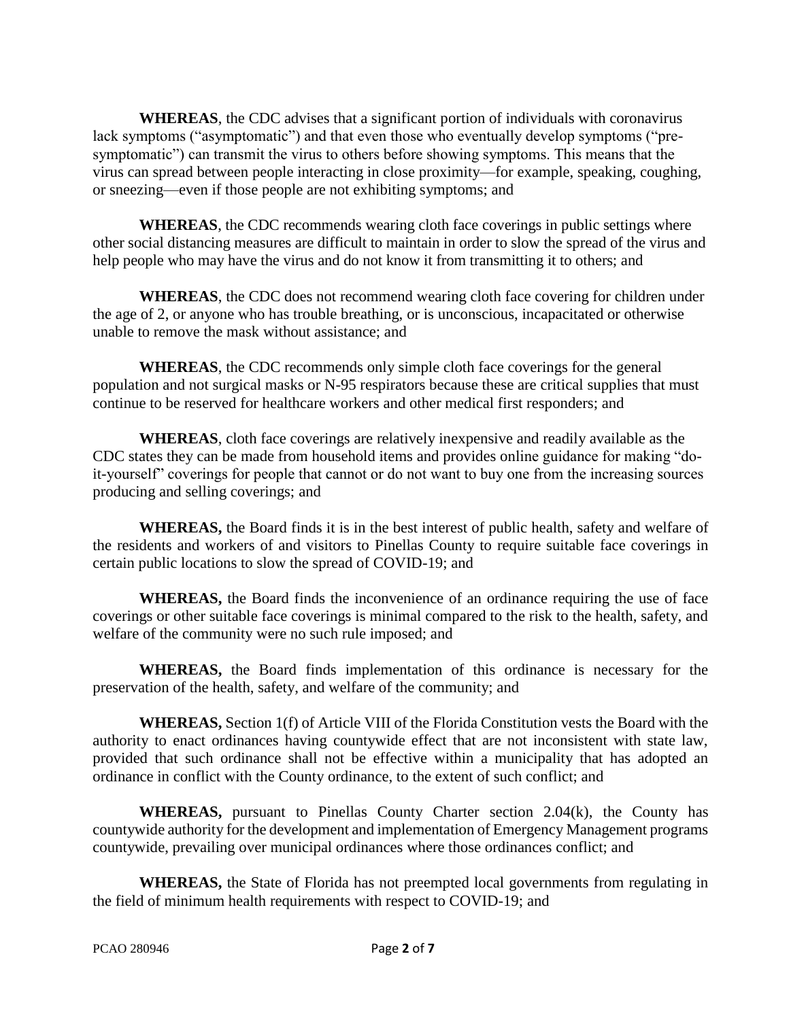**WHEREAS**, the CDC advises that a significant portion of individuals with coronavirus lack symptoms ("asymptomatic") and that even those who eventually develop symptoms ("presymptomatic") can transmit the virus to others before showing symptoms. This means that the virus can spread between people interacting in close proximity—for example, speaking, coughing, or sneezing—even if those people are not exhibiting symptoms; and

**WHEREAS**, the CDC recommends wearing cloth face coverings in public settings where other social distancing measures are difficult to maintain in order to slow the spread of the virus and help people who may have the virus and do not know it from transmitting it to others; and

**WHEREAS**, the CDC does not recommend wearing cloth face covering for children under the age of 2, or anyone who has trouble breathing, or is unconscious, incapacitated or otherwise unable to remove the mask without assistance; and

**WHEREAS**, the CDC recommends only simple cloth face coverings for the general population and not surgical masks or N-95 respirators because these are critical supplies that must continue to be reserved for healthcare workers and other medical first responders; and

**WHEREAS**, cloth face coverings are relatively inexpensive and readily available as the CDC states they can be made from household items and provides online guidance for making "doit-yourself" coverings for people that cannot or do not want to buy one from the increasing sources producing and selling coverings; and

**WHEREAS,** the Board finds it is in the best interest of public health, safety and welfare of the residents and workers of and visitors to Pinellas County to require suitable face coverings in certain public locations to slow the spread of COVID-19; and

**WHEREAS,** the Board finds the inconvenience of an ordinance requiring the use of face coverings or other suitable face coverings is minimal compared to the risk to the health, safety, and welfare of the community were no such rule imposed; and

**WHEREAS,** the Board finds implementation of this ordinance is necessary for the preservation of the health, safety, and welfare of the community; and

**WHEREAS,** Section 1(f) of Article VIII of the Florida Constitution vests the Board with the authority to enact ordinances having countywide effect that are not inconsistent with state law, provided that such ordinance shall not be effective within a municipality that has adopted an ordinance in conflict with the County ordinance, to the extent of such conflict; and

**WHEREAS,** pursuant to Pinellas County Charter section 2.04(k), the County has countywide authority for the development and implementation of Emergency Management programs countywide, prevailing over municipal ordinances where those ordinances conflict; and

**WHEREAS,** the State of Florida has not preempted local governments from regulating in the field of minimum health requirements with respect to COVID-19; and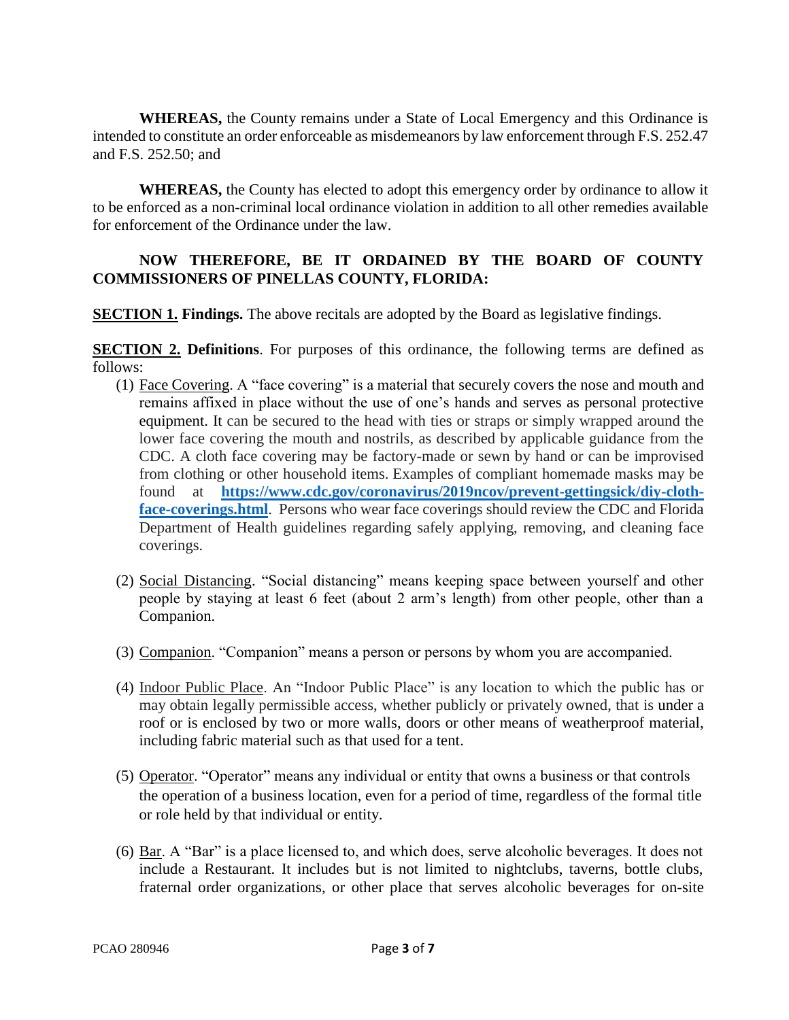**WHEREAS,** the County remains under a State of Local Emergency and this Ordinance is intended to constitute an order enforceable as misdemeanors by law enforcement through F.S. 252.47 and F.S. 252.50; and

**WHEREAS,** the County has elected to adopt this emergency order by ordinance to allow it to be enforced as a non-criminal local ordinance violation in addition to all other remedies available for enforcement of the Ordinance under the law.

## **NOW THEREFORE, BE IT ORDAINED BY THE BOARD OF COUNTY COMMISSIONERS OF PINELLAS COUNTY, FLORIDA:**

**SECTION 1. Findings.** The above recitals are adopted by the Board as legislative findings.

**SECTION 2. Definitions**. For purposes of this ordinance, the following terms are defined as follows:

- (1) Face Covering. A "face covering" is a material that securely covers the nose and mouth and remains affixed in place without the use of one's hands and serves as personal protective equipment. It can be secured to the head with ties or straps or simply wrapped around the lower face covering the mouth and nostrils, as described by applicable guidance from the CDC. A cloth face covering may be factory-made or sewn by hand or can be improvised from clothing or other household items. Examples of compliant homemade masks may be found at **[https://www.cdc.gov/coronavirus/2019ncov/prevent-gettingsick/diy-cloth](https://www.cdc.gov/coronavirus/2019ncov/prevent-gettingsick/diy-cloth-face-coverings.html)**[face-coverings.html](https://www.cdc.gov/coronavirus/2019ncov/prevent-gettingsick/diy-cloth-face-coverings.html). Persons who wear face coverings should review the CDC and Florida Department of Health guidelines regarding safely applying, removing, and cleaning face coverings.
- (2) Social Distancing. "Social distancing" means keeping space between yourself and other people by staying at least 6 feet (about 2 arm's length) from other people, other than a Companion.
- (3) Companion. "Companion" means a person or persons by whom you are accompanied.
- (4) Indoor Public Place. An "Indoor Public Place" is any location to which the public has or may obtain legally permissible access, whether publicly or privately owned, that is under a roof or is enclosed by two or more walls, doors or other means of weatherproof material, including fabric material such as that used for a tent.
- (5) Operator. "Operator" means any individual or entity that owns a business or that controls the operation of a business location, even for a period of time, regardless of the formal title or role held by that individual or entity.
- (6) Bar. A "Bar" is a place licensed to, and which does, serve alcoholic beverages. It does not include a Restaurant. It includes but is not limited to nightclubs, taverns, bottle clubs, fraternal order organizations, or other place that serves alcoholic beverages for on-site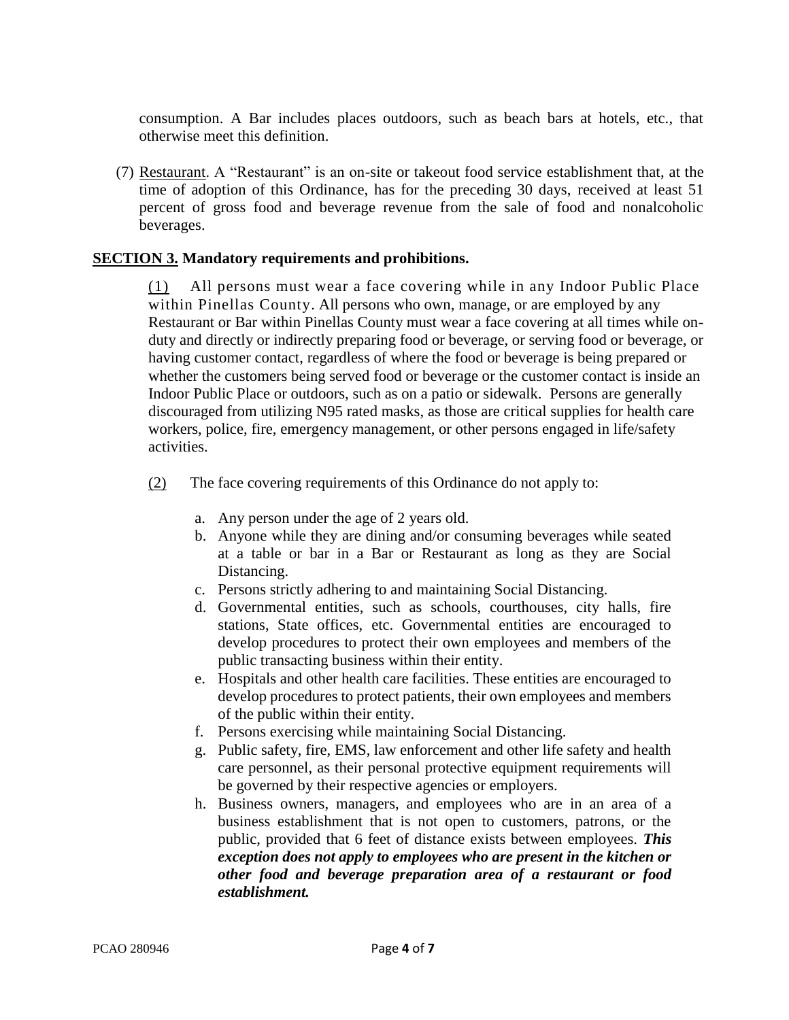consumption. A Bar includes places outdoors, such as beach bars at hotels, etc., that otherwise meet this definition.

(7) Restaurant. A "Restaurant" is an on-site or takeout food service establishment that, at the time of adoption of this Ordinance, has for the preceding 30 days, received at least 51 percent of gross food and beverage revenue from the sale of food and nonalcoholic beverages.

## **SECTION 3. Mandatory requirements and prohibitions.**

(1) All persons must wear a face covering while in any Indoor Public Place within Pinellas County. All persons who own, manage, or are employed by any Restaurant or Bar within Pinellas County must wear a face covering at all times while onduty and directly or indirectly preparing food or beverage, or serving food or beverage, or having customer contact, regardless of where the food or beverage is being prepared or whether the customers being served food or beverage or the customer contact is inside an Indoor Public Place or outdoors, such as on a patio or sidewalk. Persons are generally discouraged from utilizing N95 rated masks, as those are critical supplies for health care workers, police, fire, emergency management, or other persons engaged in life/safety activities.

(2) The face covering requirements of this Ordinance do not apply to:

- a. Any person under the age of 2 years old.
- b. Anyone while they are dining and/or consuming beverages while seated at a table or bar in a Bar or Restaurant as long as they are Social Distancing.
- c. Persons strictly adhering to and maintaining Social Distancing.
- d. Governmental entities, such as schools, courthouses, city halls, fire stations, State offices, etc. Governmental entities are encouraged to develop procedures to protect their own employees and members of the public transacting business within their entity.
- e. Hospitals and other health care facilities. These entities are encouraged to develop procedures to protect patients, their own employees and members of the public within their entity.
- f. Persons exercising while maintaining Social Distancing.
- g. Public safety, fire, EMS, law enforcement and other life safety and health care personnel, as their personal protective equipment requirements will be governed by their respective agencies or employers.
- h. Business owners, managers, and employees who are in an area of a business establishment that is not open to customers, patrons, or the public, provided that 6 feet of distance exists between employees. *This exception does not apply to employees who are present in the kitchen or other food and beverage preparation area of a restaurant or food establishment.*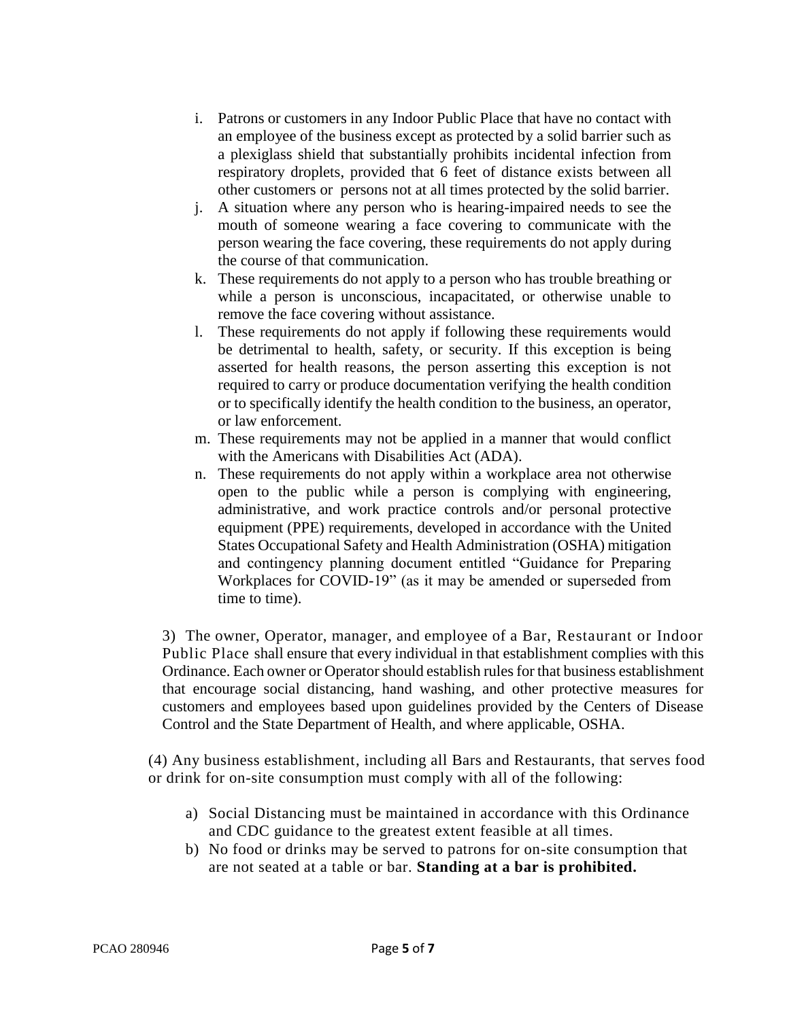- i. Patrons or customers in any Indoor Public Place that have no contact with an employee of the business except as protected by a solid barrier such as a plexiglass shield that substantially prohibits incidental infection from respiratory droplets, provided that 6 feet of distance exists between all other customers or persons not at all times protected by the solid barrier.
- j. A situation where any person who is hearing-impaired needs to see the mouth of someone wearing a face covering to communicate with the person wearing the face covering, these requirements do not apply during the course of that communication.
- k. These requirements do not apply to a person who has trouble breathing or while a person is unconscious, incapacitated, or otherwise unable to remove the face covering without assistance.
- l. These requirements do not apply if following these requirements would be detrimental to health, safety, or security. If this exception is being asserted for health reasons, the person asserting this exception is not required to carry or produce documentation verifying the health condition or to specifically identify the health condition to the business, an operator, or law enforcement.
- m. These requirements may not be applied in a manner that would conflict with the Americans with Disabilities Act (ADA).
- n. These requirements do not apply within a workplace area not otherwise open to the public while a person is complying with engineering, administrative, and work practice controls and/or personal protective equipment (PPE) requirements, developed in accordance with the United States Occupational Safety and Health Administration (OSHA) mitigation and contingency planning document entitled "Guidance for Preparing Workplaces for COVID-19" (as it may be amended or superseded from time to time).

3) The owner, Operator, manager, and employee of a Bar, Restaurant or Indoor Public Place shall ensure that every individual in that establishment complies with this Ordinance. Each owner or Operator should establish rules for that business establishment that encourage social distancing, hand washing, and other protective measures for customers and employees based upon guidelines provided by the Centers of Disease Control and the State Department of Health, and where applicable, OSHA.

(4) Any business establishment, including all Bars and Restaurants, that serves food or drink for on-site consumption must comply with all of the following:

- a) Social Distancing must be maintained in accordance with this Ordinance and CDC guidance to the greatest extent feasible at all times.
- b) No food or drinks may be served to patrons for on-site consumption that are not seated at a table or bar. **Standing at a bar is prohibited.**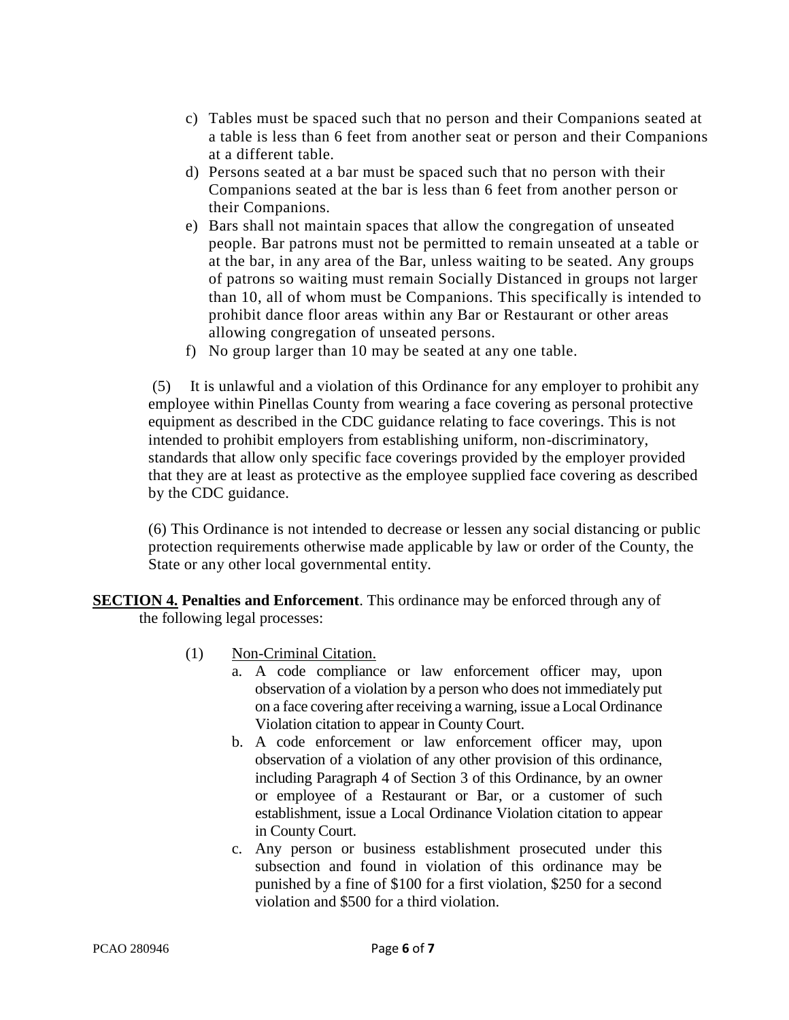- c) Tables must be spaced such that no person and their Companions seated at a table is less than 6 feet from another seat or person and their Companions at a different table.
- d) Persons seated at a bar must be spaced such that no person with their Companions seated at the bar is less than 6 feet from another person or their Companions.
- e) Bars shall not maintain spaces that allow the congregation of unseated people. Bar patrons must not be permitted to remain unseated at a table or at the bar, in any area of the Bar, unless waiting to be seated. Any groups of patrons so waiting must remain Socially Distanced in groups not larger than 10, all of whom must be Companions. This specifically is intended to prohibit dance floor areas within any Bar or Restaurant or other areas allowing congregation of unseated persons.
- f) No group larger than 10 may be seated at any one table.

(5) It is unlawful and a violation of this Ordinance for any employer to prohibit any employee within Pinellas County from wearing a face covering as personal protective equipment as described in the CDC guidance relating to face coverings. This is not intended to prohibit employers from establishing uniform, non-discriminatory, standards that allow only specific face coverings provided by the employer provided that they are at least as protective as the employee supplied face covering as described by the CDC guidance.

(6) This Ordinance is not intended to decrease or lessen any social distancing or public protection requirements otherwise made applicable by law or order of the County, the State or any other local governmental entity.

**SECTION 4. Penalties and Enforcement**. This ordinance may be enforced through any of the following legal processes:

- (1) Non-Criminal Citation.
	- a. A code compliance or law enforcement officer may, upon observation of a violation by a person who does not immediately put on a face covering after receiving a warning, issue a Local Ordinance Violation citation to appear in County Court.
	- b. A code enforcement or law enforcement officer may, upon observation of a violation of any other provision of this ordinance, including Paragraph 4 of Section 3 of this Ordinance, by an owner or employee of a Restaurant or Bar, or a customer of such establishment, issue a Local Ordinance Violation citation to appear in County Court.
	- c. Any person or business establishment prosecuted under this subsection and found in violation of this ordinance may be punished by a fine of \$100 for a first violation, \$250 for a second violation and \$500 for a third violation.